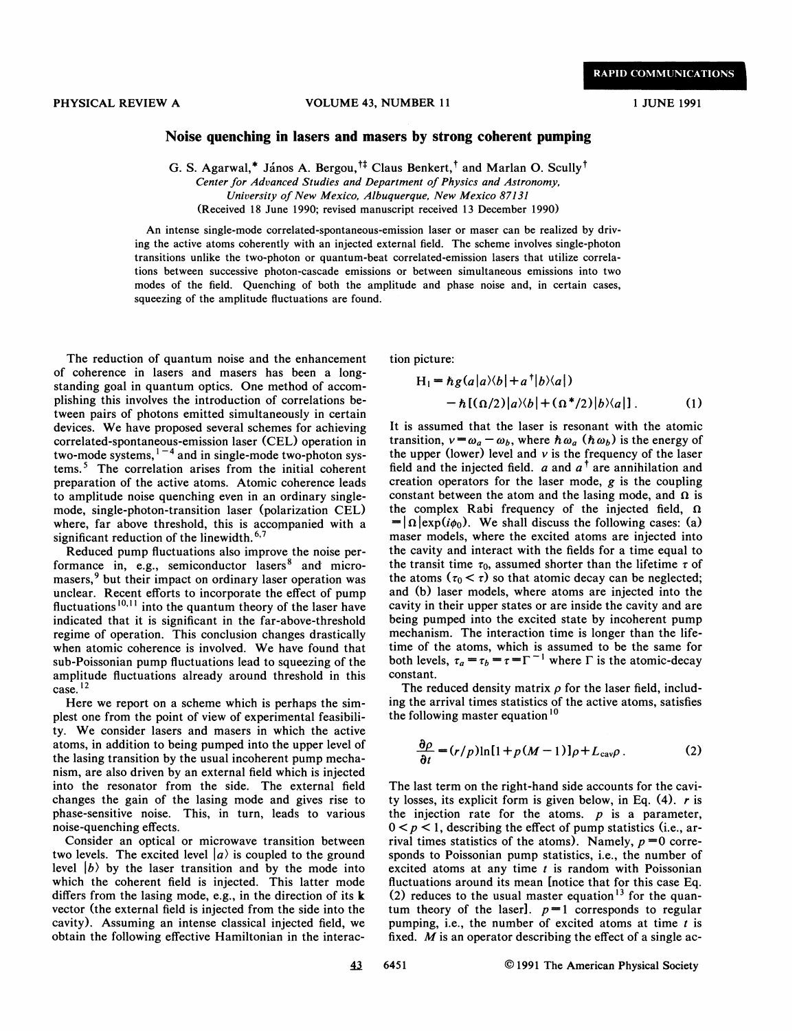## Noise quenching in lasers and masers by strong coherent pumping

G. S. Agarwal,\* János A. Bergou,<sup>†‡</sup> Claus Benkert,<sup>†</sup> and Marlan O. Scully<sup>†</sup> Center for Advanced Studies and Department of Physics and Astronomy,

University of New Mexico, Albuquerque, New Mexico 87131

(Received 18 June 1990; revised manuscript received 13 December 1990)

An intense single-mode correlated-spontaneous-emission laser or maser can be realized by driving the active atoms coherently with an injected external field. The scheme involves single-photon transitions unlike the two-photon or quantum-beat correlated-emission lasers that utilize correlations between successive photon-cascade emissions or between simultaneous emissions into two modes of the field. Quenching of both the amplitude and phase noise and, in certain cases, squeezing of the amplitude fluctuations are found.

The reduction of quantum noise and the enhancement of coherence in lasers and masers has been a longstanding goal in quantum optics. One method of accomplishing this involves the introduction of correlations between pairs of photons emitted simultaneously in certain devices. We have proposed several schemes for achieving correlated-spontaneous-emission laser (CEL) operation in two-mode systems,  $1-4$  and in single-mode two-photon systems.<sup>5</sup> The correlation arises from the initial coherent preparation of the active atoms. Atomic coherence leads to amplitude noise quenching even in an ordinary singlemode, single-photon-transition laser (polarization CEL) where, far above threshold, this is accompanied with a significant reduction of the linewidth.<sup>6,7</sup>

Reduced pump fluctuations also improve the noise performance in, e.g., semiconductor lasers $8$  and micromasers,<sup>9</sup> but their impact on ordinary laser operation was unclear. Recent efforts to incorporate the effect of pump masers, but their impact on ordinary laser operation was<br>unclear. Recent efforts to incorporate the effect of pump<br>fluctuations<sup>10,11</sup> into the quantum theory of the laser have indicated that it is significant in the far-above-threshold regime of operation. This conclusion changes drastically when atomic coherence is involved. We have found that sub-Poissonian pump fluctuations lead to squeezing of the amplitude fluctuations already around threshold in this  $\frac{12}{2}$ 

Here we report on a scheme which is perhaps the simplest one from the point of view of experimental feasibility. We consider lasers and masers in which the active atoms, in addition to being pumped into the upper level of the lasing transition by the usual incoherent pump mechanism, are also driven by an external field which is injected into the resonator from the side. The external field changes the gain of the lasing mode and gives rise to phase-sensitive noise. This, in turn, leads to various noise-quenching effects.

Consider an optical or microwave transition between two levels. The excited level  $|a\rangle$  is coupled to the ground level  $|b\rangle$  by the laser transition and by the mode into which the coherent field is injected. This latter mode differs from the lasing mode, e.g., in the direction of its k vector (the external field is injected from the side into the cavity). Assuming an intense classical injected field, we obtain the following effective Hamiltonian in the interaction picture:

$$
H_1 = \hbar g(a|a\rangle\langle b| + a^{\dagger}|b\rangle\langle a|)
$$
  
- 
$$
\hbar [(\Omega/2)|a\rangle\langle b| + (\Omega^*/2)|b\rangle\langle a|].
$$
 (1)

It is assumed that the laser is resonant with the atomic transition,  $v = \omega_a - \omega_b$ , where  $\hbar \omega_a$  ( $\hbar \omega_b$ ) is the energy of the upper (lower) level and  $\nu$  is the frequency of the laser field and the injected field.  $a$  and  $a^{\dagger}$  are annihilation and creation operators for the laser mode,  $g$  is the coupling constant between the atom and the lasing mode, and  $\Omega$  is the complex Rabi frequency of the injected field,  $\Omega$  $= |\Omega| \exp(i\phi_0)$ . We shall discuss the following cases: (a) maser models, where the excited atoms are injected into the cavity and interact with the fields for a time equal to the transit time  $\tau_0$ , assumed shorter than the lifetime  $\tau$  of the atoms  $(\tau_0 < \tau)$  so that atomic decay can be neglected; and (b) laser models, where atoms are injected into the cavity in their upper states or are inside the cavity and are being pumped into the excited state by incoherent pump mechanism. The interaction time is longer than the lifeime of the atoms, which is assumed to be the same for both levels,  $\tau_a = \tau_b = \tau = \Gamma^{-1}$  where  $\Gamma$  is the atomic-decay constant.

The reduced density matrix  $\rho$  for the laser field, including the arrival times statistics of the active atoms, satisfies the following master equation<sup>10</sup>

$$
\frac{\partial \rho}{\partial t} = (r/p) \ln[1 + p(M-1)] \rho + L_{\text{cav}} \rho \,. \tag{2}
$$

The last term on the right-hand side accounts for the cavity losses, its explicit form is given below, in Eq.  $(4)$ . r is the injection rate for the atoms.  $p$  is a parameter,  $0 < p < 1$ , describing the effect of pump statistics (i.e., arrival times statistics of the atoms). Namely,  $p = 0$  corresponds to Poissonian pump statistics, i.e., the number of excited atoms at any time  $t$  is random with Poissonian fluctuations around its mean [notice that for this case Eq. (2) reduces to the usual master equation<sup>13</sup> for the quantum theory of the laser].  $p=1$  corresponds to regular bumping, i.e., the number of excited atoms at time  $t$  is fixed.  $M$  is an operator describing the effect of a single ac-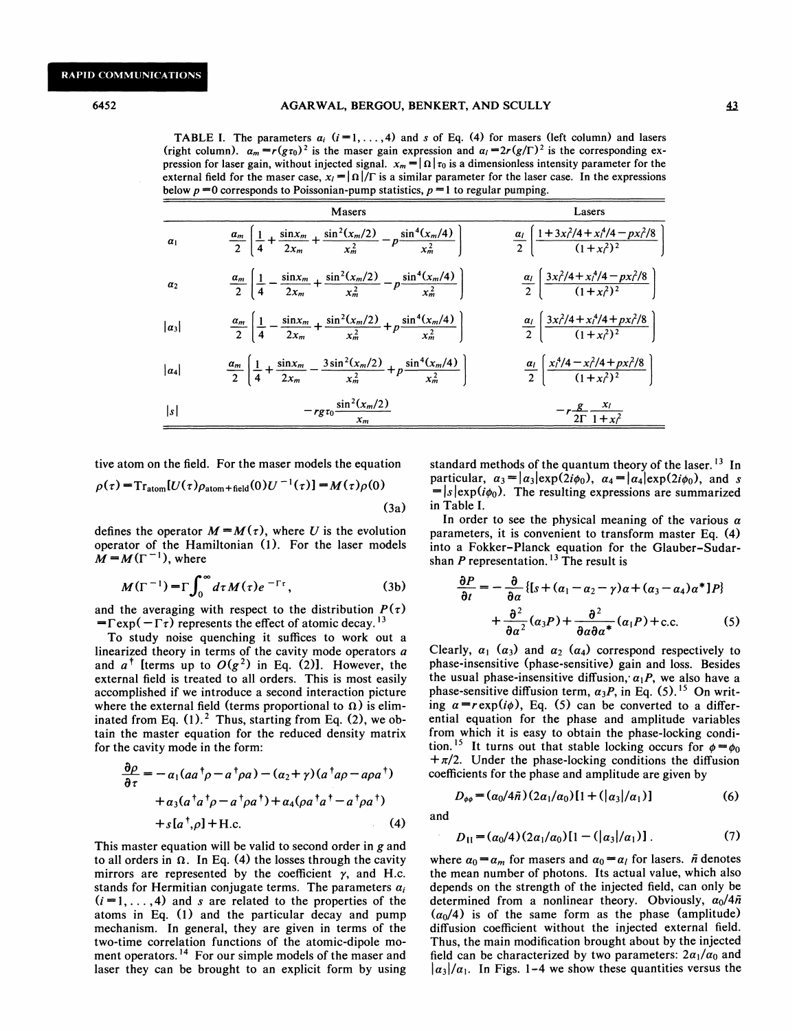**TABLE I.** The parameters  $a_i$   $(i = 1, ..., 4)$  and s of Eq. (4) for masers (left column) and lasers (right column).  $a_m = r(g_{\tau_0})^2$  is the maser gain expression and  $a_l = 2r(g/\Gamma)^2$  is the corresponding expression for laser gain, without injected signal.  $x_m = |\Omega| \tau_0$  is a dimensionless intensity parameter for the external field for the maser case,  $x_i = |\Omega|/\Gamma$  is a similar parameter for the laser case. In the expressions below  $p = 0$  corresponds to Poissonian-pump statistics,  $p = 1$  to regular pumping.

|                | Masers                                                                                                                       | Lasers                                                                                      |
|----------------|------------------------------------------------------------------------------------------------------------------------------|---------------------------------------------------------------------------------------------|
| $\alpha_1$     | $\frac{\alpha_m}{2}\left[\frac{1}{4}+\frac{\sin x_m}{2x_m}+\frac{\sin^2(x_m/2)}{x_m^2}-p\frac{\sin^4(x_m/4)}{x_m^2}\right]$  | $\frac{\alpha_l}{2} \left[ \frac{1 + 3x_l^2/4 + x_l^4/4 - px_l^2/8}{(1 + x_l^2)^2} \right]$ |
| a <sub>2</sub> | $\frac{\alpha_m}{2}\left[\frac{1}{4}-\frac{\sin x_m}{2x_m}+\frac{\sin^2(x_m/2)}{x_m^2}-p\frac{\sin^4(x_m/4)}{x_m^2}\right]$  | $\frac{\alpha_l}{2} \left[ \frac{3x_l^2/4 + x_l^4/4 - px_l^2/8}{(1+x_l^2)^2} \right]$       |
| $ a_3 $        | $\frac{\alpha_m}{2}\left \frac{1}{4}-\frac{\sin x_m}{2x_m}+\frac{\sin^2(x_m/2)}{x_m^2}+p\frac{\sin^4(x_m/4)}{x_m^2}\right $  | $\frac{\alpha_l}{2} \left[ \frac{3x_l^2/4 + x_l^4/4 + px_l^2/8}{(1+x_l^2)^2} \right]$       |
| $ a_4 $        | $\frac{\alpha_m}{2}\left[\frac{1}{4}+\frac{\sin x_m}{2x_m}-\frac{3\sin^2(x_m/2)}{x_m^2}+p\frac{\sin^4(x_m/4)}{x_m^2}\right]$ | $\frac{a_1}{2} \left[ \frac{x_1^4/4 - x_1^2/4 + px_1^2/8}{(1+x_1^2)^2} \right]$             |
| s              | $-rg\tau_0 \frac{\sin^2(x_m/2)}{x_m}$                                                                                        | $-r\frac{g}{2\Gamma}\frac{x_1}{1+x^2}$                                                      |

tive atom on the field. For the maser models the equation

$$
\rho(\tau) = \mathrm{Tr}_{\mathrm{atom}}[U(\tau)\rho_{\mathrm{atom}+\mathrm{field}}(0)U^{-1}(\tau)] = M(\tau)\rho(0)
$$
\n(3a)

defines the operator  $M = M(\tau)$ , where U is the evolution operator of the Hamiltonian (1). For the laser models  $\mathbf{M} = \mathbf{M}(\Gamma^{-1})$ , where

$$
M(\Gamma^{-1}) = \Gamma \int_0^\infty d\tau M(\tau) e^{-\Gamma \tau}, \qquad (3b)
$$

and the averaging with respect to the distribution  $P(\tau)$  $=\Gamma \exp(-\Gamma \tau)$  represents the effect of atomic decay.<sup>13</sup>

To study noise quenching it suffices to work out a linearized theory in terms of the cavity mode operators a and  $a^{\dagger}$  [terms up to  $O(g^2)$  in Eq. (2)]. However, the external field is treated to all orders. This is most easily accomplished if we introduce a second interaction picture where the external field (terms proportional to  $\Omega$ ) is eliminated from Eq.  $(1)$ .<sup>2</sup> Thus, starting from Eq.  $(2)$ , we obtain the master equation for the reduced density matrix for the cavity mode in the form:

$$
\frac{\partial \rho}{\partial \tau} = -\alpha_1 (aa^{\dagger} \rho - a^{\dagger} \rho a) - (\alpha_2 + \gamma)(a^{\dagger} a \rho - a \rho a^{\dagger})
$$
\n
$$
+ \alpha_3 (a^{\dagger} a^{\dagger} \rho - a^{\dagger} \rho a^{\dagger}) + \alpha_4 (\rho a^{\dagger} a^{\dagger} - a^{\dagger} \rho a^{\dagger})
$$
\n
$$
+ s [a^{\dagger}, \rho] + H.c.
$$
\n(4) and

This master equation will be valid to second order in g and to all orders in  $\Omega$ . In Eq. (4) the losses through the cavity mirrors are represented by the coefficient  $\gamma$ , and H.c. stands for Hermitian conjugate terms. The parameters  $a_i$  $(i = 1, \ldots, 4)$  and s are related to the properties of the atoms in Eq. (1) and the particular decay and pump mechanism. In general, they are given in terms of the two-time correlation functions of the atomic-dipole moment operators.<sup>14</sup> For our simple models of the maser and laser they can be brought to an explicit form by using

standard methods of the quantum theory of the laser.<sup>13</sup> In particular,  $\alpha_3 = |a_3| \exp(2i\phi_0)$ ,  $\alpha_4 = |a_4| \exp(2i\phi_0)$ , and s  $=|s| \exp(i\phi_0)$ . The resulting expressions are summarized in Table I.

In order to see the physical meaning of the various  $\alpha$ parameters, it is convenient to transform master Eq. (4) into a Fokker-Planck equation for the Glauber-Sudarshan P representation.<sup>13</sup> The result is

$$
\frac{\partial P}{\partial t} = -\frac{\partial}{\partial \alpha} \{ [s + (\alpha_1 - \alpha_2 - \gamma) \alpha + (\alpha_3 - \alpha_4) \alpha^* ] P \} + \frac{\partial^2}{\partial \alpha^2} (\alpha_3 P) + \frac{\partial^2}{\partial \alpha \partial \alpha^*} (\alpha_1 P) + \text{c.c.}
$$
 (5)

Clearly,  $\alpha_1$  ( $\alpha_3$ ) and  $\alpha_2$  ( $\alpha_4$ ) correspond respectively to phase-insensitive (phase-sensitive) gain and loss. Besides the usual phase-insensitive diffusion,  $a_1P$ , we also have a phase-sensitive diffusion term,  $\alpha_3 P$ , in Eq. (5).<sup>15</sup> On writing  $\alpha = r \exp(i\phi)$ , Eq. (5) can be converted to a differential equation for the phase and amplitude variables from which it is easy to obtain the phase-locking condiion.<sup>15</sup> It turns out that stable locking occurs for  $\phi = \phi_0$  $+\pi/2$ . Under the phase-locking conditions the diffusion coefficients for the phase and amplitude are given by

$$
D_{\phi\phi} = (a_0/4\tilde{n})(2a_1/a_0)[1+(\vert a_3\vert/a_1)] \tag{6}
$$

and

$$
D_{11} = (\alpha_0/4) (2\alpha_1/\alpha_0) [1 - (|\alpha_3|/\alpha_1)] \,. \tag{7}
$$

where  $\alpha_0 = \alpha_m$  for masers and  $\alpha_0 = \alpha_l$  for lasers.  $\tilde{n}$  denotes the mean number of photons. Its actual value, which also depends on the strength of the injected field, can only be determined from a nonlinear theory. Obviously,  $\alpha_0/4\tilde{n}$  $(\alpha_0/4)$  is of the same form as the phase (amplitude) diffusion coefficient without the injected external field. Thus, the main modification brought about by the injected field can be characterized by two parameters:  $2a_1/a_0$  and  $|\alpha_3|/\alpha_1$ . In Figs. 1-4 we show these quantities versus the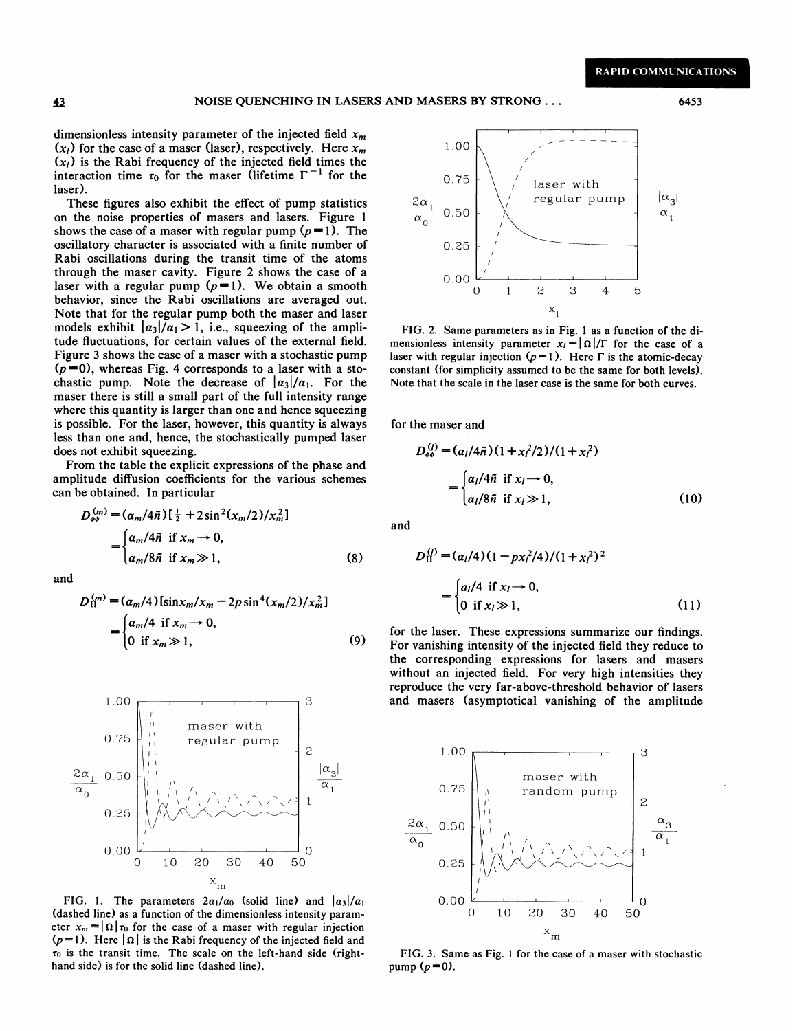dimensionless intensity parameter of the injected field  $x_m$  $(x_i)$  for the case of a maser (laser), respectively. Here  $x_m$  $(x<sub>l</sub>)$  is the Rabi frequency of the injected field times the interaction time  $\tau_0$  for the maser (lifetime  $\Gamma^{-1}$  for the laser).

These figures also exhibit the effect of pump statistics on the noise properties of masers and lasers. Figure <sup>1</sup> shows the case of a maser with regular pump  $(p=1)$ . The oscillatory character is associated with a finite number of Rabi oscillations during the transit time of the atoms hrough the maser cavity. Figure 2 shows the case of a laser with a regular pump  $(p=1)$ . We obtain a smooth behavior, since the Rabi oscillations are averaged out. Note that for the regular pump both the maser and laser models exhibit  $|\alpha_3|/\alpha_1 > 1$ , i.e., squeezing of the amplitude fiuctuations, for certain values of the external field. Figure 3 shows the case of a maser with a stochastic pump  $(p=0)$ , whereas Fig. 4 corresponds to a laser with a sto-Figure 3 shows the case of a maser with a stochastic pump chastic pump. Note the decrease of  $|a_3|/a_1$ . For the maser there is still a small part of the full intensity range where this quantity is larger than one and hence squeezing less than one and, hence, the stochastically pumped laser is possible. For the laser, however, this quantity is aldoes not exhibit squeezing.

From the table the explicit expressions of the phase and amplitude diffusion coefficients for the various schemes can be obtained. In particular

$$
D_{\phi\phi}^{(m)} = (a_m/4\tilde{n})\left[\frac{1}{2} + 2\sin^2(x_m/2)/x_m^2\right]
$$
  
= 
$$
\begin{cases} a_m/4\tilde{n} & \text{if } x_m \to 0, \\ a_m/8\tilde{n} & \text{if } x_m \gg 1, \end{cases}
$$
 (8)

and

$$
D_{\text{II}}^{(m)} = (\alpha_m/4) [\sin x_m / x_m - 2p \sin^4(x_m/2) / x_m^2]
$$
  
= 
$$
\begin{cases} \alpha_m/4 & \text{if } x_m \to 0, \\ 0 & \text{if } x_m \gg 1, \end{cases}
$$
 (9)



FIG. 1. The parameters  $2a_1/a_0$  (solid line) and  $|a_3|/a_1$ (dashed line) as a function of the dimensionless intensity parameter  $x_m = |\Omega| \tau_0$  for the case of a maser with regular injection eter  $x_m = |\Omega| \tau_0$  for the case of a maser with regular injection<br>( $p=1$ ). Here  $|\Omega|$  is the Rabi frequency of the injected field and  $\tau_0$  is the transit time. The scale on the left-hand side (righthand side) is for the solid line (dashed line).



FIG. 2. Same parameters as in Fig. 1 as a function of the dimensionless intensity parameter  $x_i = |\Omega|/\Gamma$  for the case of a aser with regular injection  $(p=1)$ . Here  $\Gamma$  is the atomic-decay constant (for simplicity assumed to be the same for both levels). Note that the scale in the laser case is the same for both curves.

for the maser and

$$
D_{\phi\phi}^{(l)} = (a_l/4\tilde{n})(1 + x_l^2/2)/(1 + x_l^2)
$$
  
= 
$$
\begin{cases} a_l/4\tilde{n} & \text{if } x_l \to 0, \\ a_l/8\tilde{n} & \text{if } x_l \gg 1, \end{cases}
$$
 (10)

and

$$
D_{\text{II}}^{(j)} = (\alpha_l/4)(1 - px_l^2/4)/(1 + x_l^2)^2
$$
  
= 
$$
\begin{cases} a_l/4 & \text{if } x_l \to 0, \\ 0 & \text{if } x_l \gg 1, \end{cases}
$$
 (11)

for the laser. These expressions summarize our findings. For vanishing intensity of the injected field they reduce to the corresponding expressions for lasers and masers without an injected field. For very high intensities they reproduce the very far-above-threshold behavior of lasers and masers (asymptotical vanishing of the amplitude



FIG. 3. Same as Fig. 1 for the case of a maser with stochastic pump  $(p=0)$ .